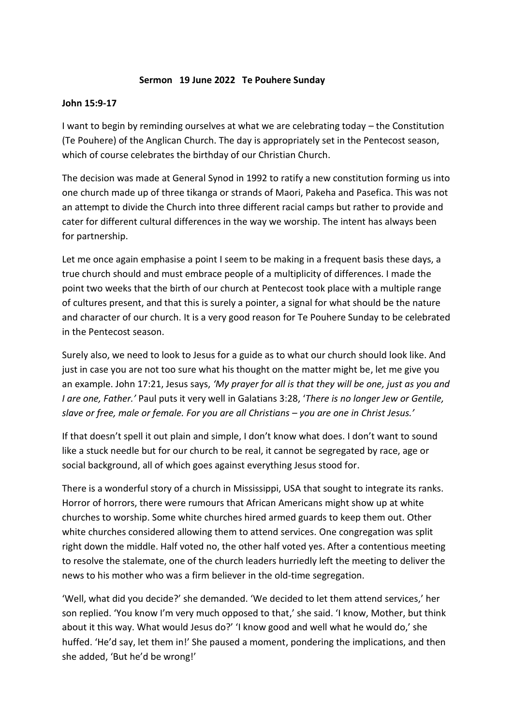## **Sermon 19 June 2022 Te Pouhere Sunday**

## **John 15:9-17**

I want to begin by reminding ourselves at what we are celebrating today – the Constitution (Te Pouhere) of the Anglican Church. The day is appropriately set in the Pentecost season, which of course celebrates the birthday of our Christian Church.

The decision was made at General Synod in 1992 to ratify a new constitution forming us into one church made up of three tikanga or strands of Maori, Pakeha and Pasefica. This was not an attempt to divide the Church into three different racial camps but rather to provide and cater for different cultural differences in the way we worship. The intent has always been for partnership.

Let me once again emphasise a point I seem to be making in a frequent basis these days, a true church should and must embrace people of a multiplicity of differences. I made the point two weeks that the birth of our church at Pentecost took place with a multiple range of cultures present, and that this is surely a pointer, a signal for what should be the nature and character of our church. It is a very good reason for Te Pouhere Sunday to be celebrated in the Pentecost season.

Surely also, we need to look to Jesus for a guide as to what our church should look like. And just in case you are not too sure what his thought on the matter might be, let me give you an example. John 17:21, Jesus says, *'My prayer for all is that they will be one, just as you and I are one, Father.'* Paul puts it very well in Galatians 3:28, '*There is no longer Jew or Gentile, slave or free, male or female. For you are all Christians – you are one in Christ Jesus.'*

If that doesn't spell it out plain and simple, I don't know what does. I don't want to sound like a stuck needle but for our church to be real, it cannot be segregated by race, age or social background, all of which goes against everything Jesus stood for.

There is a wonderful story of a church in Mississippi, USA that sought to integrate its ranks. Horror of horrors, there were rumours that African Americans might show up at white churches to worship. Some white churches hired armed guards to keep them out. Other white churches considered allowing them to attend services. One congregation was split right down the middle. Half voted no, the other half voted yes. After a contentious meeting to resolve the stalemate, one of the church leaders hurriedly left the meeting to deliver the news to his mother who was a firm believer in the old-time segregation.

'Well, what did you decide?' she demanded. 'We decided to let them attend services,' her son replied. 'You know I'm very much opposed to that,' she said. 'I know, Mother, but think about it this way. What would Jesus do?' 'I know good and well what he would do,' she huffed. 'He'd say, let them in!' She paused a moment, pondering the implications, and then she added, 'But he'd be wrong!'